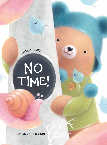<sup>H</sup>elen<sup>a</sup> <sup>K</sup>ralj<sup>i</sup><sup>č</sup>

## NO TIME!

Illustrated by Maja Lubi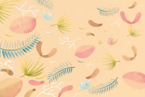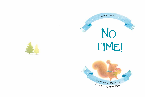



Helena Kraljič

# NO TIME

Illustrated by Maja Lubi Translated by Jason Blake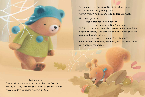#### Fall was over.

The smell of snow was in the air. Tim the Bear was making his way through the woods to tell his friends they wouldn't be seeing him for a while.

He came across the Vicky the Squirrel, who was frantically searching the ground. "Listen, Vicky," he said. "I'd like to tell you that…"

"No time right now.

#### Not a minute. Not a second.

Not a hundredth of a second.

If I don't hurry up and collect cones and acorns, I'll go hungry all winter," she told him in such a rush that the bear could hardly follow. "Not even a moment for a friend?"

mumbled Tim to himself, offended, and continued on his way through the woods.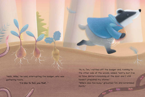"Hello, Willie," he said, interrupting the badger, who was gathering roots.

"I'd like to tell you that..."

"Hi, hi, Tim," rattled off the badger and, running to the other side of the woods, added, "sorry, but I've no time. Winter's knocking at the door and I still haven't prepared my stores." "Willie's also too busy," grouched Tim and scrambled forth."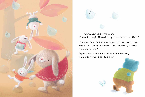



 Then he saw Bonny the Bunny. "Bonny, I thought it would be proper to tell you that…"

"The only thing that interests me today is how to take care of my young. Tomorrow, Tim. Tomorrow, I'll have some more time."

Angry because nobody could find time for him, Tim made his way back to his lair.





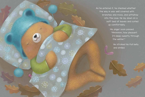

As he entered it, he checked whether the way in was well covered with branches and moss, and withdrew into the cave. He lay down on a soft bed of leaves and curled up comfortably.

> His anger soon passed. "Mmmmm, how pleasant. I'll sleep sweetly through the winter."

He stroked his full belly and smiled.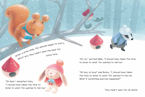"Oh dear," lamented Vicky. "I should have taken the time to listen to what Tim wanted to tell me."

After a little while, the animals began to worry<br>After a little while, the animals began to worry

Atien why they hadn't seen the bear for

"Oh, no," worried Willie. "I should have taken the time to listen to what Tim wanted to tell me."

"Oh boy, oh boy!" said Bonny, "I should have taken the time to listen to what Tim wanted to tell me. What if something bad has happened?"



They hadn't seen Tim all winter.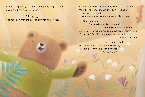When spring came, the bear had a good, long stretch and blinked into the warm sun.

### "Hungry,"

was his first thought. He set out into the woods.

He hadn't been walking for long when he met Vicky the Squirrel. "Oh, Tim, I'm so glad to see you!" she whooped excitedly. "Tell me, where have you been all this time?"

"No time right now.

#### Not a minute. Not a second.

 Not a hundredth of a second. I'm very, very hungry. We can meet tomorrow in front of my lair," Tim the Bear answered hurriedly and raced onwards.

Vicky muttered, "We haven't seen each other all winter, but he can't find even a minute for a friend."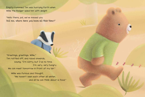Empty-tummied Tim was hurrying forth when Willie the Badger spied him with delight.

"Greetings, greetings, Willie," Tim rattled off, and raced onwards, saying, "I'm sorry, but I've no time. I'm very, very hungry. We can meet tomorrow in front of my lair."

 Willie was furious and thought, "We haven't seen each other all winter, and all he can think about is food."



"Hello there, pal, we've missed you. Tell me, where have you been all this time?"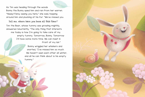As Tim was heading through the woods Bonny the Bunny spied him and ran from her warren. "Heeey! Fancy seeing you here," she said, hopping around him and plucking at his fur. "We've missed you.

 Tell me, where have you been all this time?" Tim the Bear, whose tummy was growling mightily, answered reluctantly, "The only thing that interests me today is how I'm going to take care of my empty tummy. Tomorrow, Bonny. Tomorrow I'll have some more time. We can meet in front of my lair."

> Bonny wriggled her whiskers and snorted, "I've missed him so much. We haven't seen each other all winter, and all he can think about is his empty tummy."

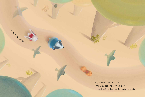Tim, who had eaten his fill the day before, got up early and waited for his friends to arrive.

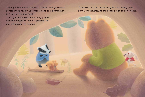Vicky got there first and said, "I hope that you're in a better mood today." She took a seat on a branch just in front of the bear's lair. "Let's just hope you're not hungry again," said the badger instead of greeting him, and sat beside the squirrel.

"I believe it's a better morning for you today," said Bonny, still insulted, as she hopped over to her friends.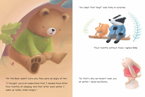



Tim the Bear wasn't sure why they were all angry at him.

"I thought you'd all understand that I needed food after four months of sleeping. And that after each winter I wake up really, really hungry."

#### "Four months without food," sighed Willie.

#### "You slept that long?" said Vicky in surprise.

"So that's why we haven't seen you all winter," observed Bonny.

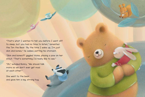"Skin and bones?!" giggled Vickie, placing a paw on her snout. "That's something I'd really like to see."

"That's what I wanted to tell you before I went off to sleep, but you had no time to listen," lamented the Tim the Bear. "By the time I wake up, I'm just skin and bones," he added, patting his stomach.

She went to the bear and gave him a big, strong hug.



"Oh," exhaled Bonny. "We should talk more so we don't ever get mad at each other."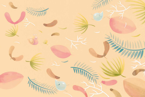